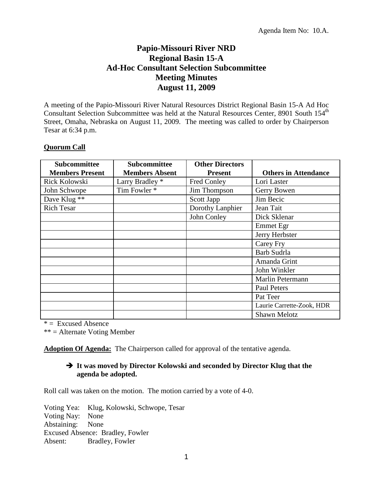## **Papio-Missouri River NRD Regional Basin 15-A Ad-Hoc Consultant Selection Subcommittee Meeting Minutes August 11, 2009**

A meeting of the Papio-Missouri River Natural Resources District Regional Basin 15-A Ad Hoc Consultant Selection Subcommittee was held at the Natural Resources Center, 8901 South 154<sup>th</sup> Street, Omaha, Nebraska on August 11, 2009. The meeting was called to order by Chairperson Tesar at 6:34 p.m.

## **Quorum Call**

| Subcommittee           | <b>Subcommittee</b>   | <b>Other Directors</b> |                             |
|------------------------|-----------------------|------------------------|-----------------------------|
| <b>Members Present</b> | <b>Members Absent</b> | <b>Present</b>         | <b>Others in Attendance</b> |
| Rick Kolowski          | Larry Bradley *       | Fred Conley            | Lori Laster                 |
| John Schwope           | Tim Fowler *          | Jim Thompson           | Gerry Bowen                 |
| Dave Klug **           |                       | Scott Japp             | Jim Becic                   |
| <b>Rich Tesar</b>      |                       | Dorothy Lanphier       | Jean Tait                   |
|                        |                       | John Conley            | Dick Sklenar                |
|                        |                       |                        | Emmet Egr                   |
|                        |                       |                        | Jerry Herbster              |
|                        |                       |                        | Carey Fry                   |
|                        |                       |                        | Barb Sudrla                 |
|                        |                       |                        | Amanda Grint                |
|                        |                       |                        | John Winkler                |
|                        |                       |                        | Marlin Petermann            |
|                        |                       |                        | <b>Paul Peters</b>          |
|                        |                       |                        | Pat Teer                    |
|                        |                       |                        | Laurie Carrette-Zook, HDR   |
|                        |                       |                        | <b>Shawn Melotz</b>         |

 $* =$  Excused Absence

\*\* = Alternate Voting Member

**Adoption Of Agenda:** The Chairperson called for approval of the tentative agenda.

## **It was moved by Director Kolowski and seconded by Director Klug that the agenda be adopted.**

Roll call was taken on the motion. The motion carried by a vote of 4-0.

Voting Yea: Klug, Kolowski, Schwope, Tesar Voting Nay: None Abstaining: None Excused Absence: Bradley, Fowler Absent: Bradley, Fowler